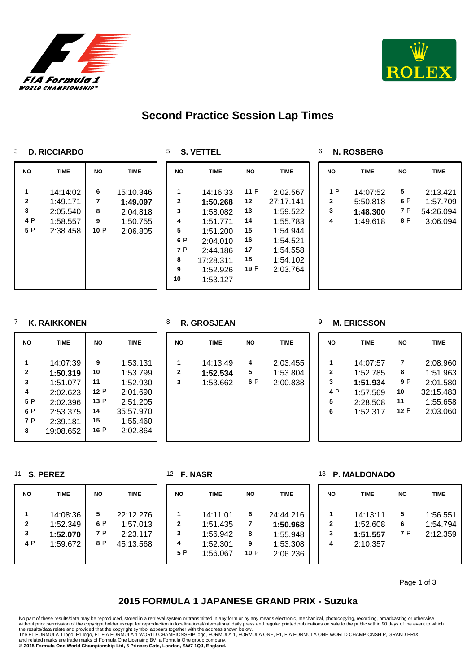



## **Second Practice Session Lap Times**

#### **D. RICCIARDO**

**S. VETTEL**

**N. ROSBERG**

| <b>NO</b>            | <b>TIME</b>                                              | NO.                      | <b>TIME</b>                                               | <b>NO</b>                                                     | <b>TIME</b>                                                                                                           | <b>NO</b>                                             | <b>TIME</b>                                                                                               | <b>NO</b>                    | <b>TIME</b>                                  | <b>NO</b>              | <b>TIME</b>                                   |
|----------------------|----------------------------------------------------------|--------------------------|-----------------------------------------------------------|---------------------------------------------------------------|-----------------------------------------------------------------------------------------------------------------------|-------------------------------------------------------|-----------------------------------------------------------------------------------------------------------|------------------------------|----------------------------------------------|------------------------|-----------------------------------------------|
| 2<br>3<br>4 P<br>5 P | 14:14:02<br>1:49.171<br>2:05.540<br>1:58.557<br>2:38.458 | 6<br>7<br>8<br>9<br>10 P | 15:10.346<br>1:49.097<br>2:04.818<br>1:50.755<br>2:06.805 | 1<br>$\mathbf 2$<br>3<br>4<br>5<br>6 P<br>7 P<br>8<br>9<br>10 | 14:16:33<br>1:50.268<br>1:58.082<br>1:51.771<br>1:51.200<br>2:04.010<br>2:44.186<br>17:28.311<br>1:52.926<br>1:53.127 | 11 P<br>12<br>13<br>14<br>15<br>16<br>17<br>18<br>19P | 2:02.567<br>27:17.141<br>1:59.522<br>1:55.783<br>1:54.944<br>1:54.521<br>1:54.558<br>1:54.102<br>2:03.764 | 1P<br>$\mathbf{2}$<br>3<br>4 | 14:07:52<br>5:50.818<br>1:48.300<br>1:49.618 | 5<br>6 P<br>7 P<br>8 P | 2:13.421<br>1:57.709<br>54:26.094<br>3:06.094 |

### **K. RAIKKONEN**

| <b>NO</b>    | <b>TIME</b> | <b>NO</b> | <b>TIME</b> |
|--------------|-------------|-----------|-------------|
| 1            | 14:07:39    | 9         | 1:53.131    |
| $\mathbf{2}$ | 1:50.319    | 10        | 1:53.799    |
| 3            | 1:51.077    | 11        | 1:52.930    |
| 4            | 2:02.623    | 12P       | 2:01.690    |
| 5 P          | 2:02.396    | 13P       | 2:51.205    |
| 6 P          | 2:53.375    | 14        | 35:57.970   |
| 7 P          | 2:39.181    | 15        | 1:55.460    |
| 8            | 19:08.652   | 16 P      | 2:02.864    |

#### **R. GROSJEAN**

| <b>NO</b> | <b>TIME</b> | <b>NO</b> | TIME     |
|-----------|-------------|-----------|----------|
|           | 14:13:49    |           | 2:03.455 |
|           | 1:52.534    | 5         | 1:53.804 |

**1:52.534**

1:53.662

#### **M. ERICSSON**

**P. MALDONADO**

 1:53.804 P 2:00.838

| <b>NO</b>                               | <b>TIME</b>                                                          |                                  | <b>TIME</b>                                                           |
|-----------------------------------------|----------------------------------------------------------------------|----------------------------------|-----------------------------------------------------------------------|
| 1<br>$\mathbf{2}$<br>3<br>4 P<br>5<br>6 | 14:07:57<br>1:52.785<br>1:51.934<br>1:57.569<br>2:28.508<br>1:52.317 | 7<br>8<br>9 P<br>10<br>11<br>12P | 2:08.960<br>1:51.963<br>2:01.580<br>32:15.483<br>1:55.658<br>2:03.060 |
|                                         |                                                                      |                                  |                                                                       |

#### **S. PEREZ**

|  |  | <b>NASR</b> |
|--|--|-------------|
|--|--|-------------|

| <b>NO</b>                | <b>TIME</b>                                  | <b>NO</b>              | <b>TIME</b>                                    | <b>NO</b>                     | <b>TIME</b>                                              | <b>NO</b>          | <b>TIME</b>                                               | <b>NO</b>   | TIME                                         | <b>NO</b>     | <b>TIME</b>                      |
|--------------------------|----------------------------------------------|------------------------|------------------------------------------------|-------------------------------|----------------------------------------------------------|--------------------|-----------------------------------------------------------|-------------|----------------------------------------------|---------------|----------------------------------|
| $\mathbf{2}$<br>3<br>4 P | 14:08:36<br>1:52.349<br>1:52.070<br>1:59.672 | 5<br>6 P<br>7 P<br>8 P | 22:12.276<br>1:57.013<br>2:23.117<br>45:13.568 | $\mathbf{2}$<br>3<br>4<br>5 P | 14:11:01<br>1:51.435<br>1:56.942<br>1:52.301<br>1:56.067 | 6<br>8<br>9<br>10P | 24:44.216<br>1:50.968<br>1:55.948<br>1:53.308<br>2:06.236 | 2<br>3<br>4 | 14:13:11<br>1:52.608<br>1:51.557<br>2:10.357 | 5<br>6<br>7 P | 1:56.551<br>1:54.794<br>2:12.359 |

Page 1 of 3

## **2015 FORMULA 1 JAPANESE GRAND PRIX - Suzuka**

without prior permission of the copyright holder except for reproduction in local/national/international daily press and regular printed publications on sale to the public within 90 days of the event to which<br>the results/d No part of these results/data may be reproduced, stored in a retrieval system or transmitted in any form or by any means electronic, mechanical, photocopying, recording, broadcasting or otherwise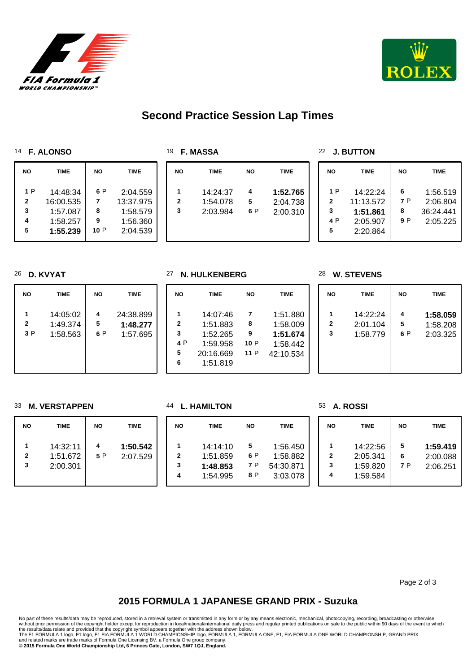

**NO TIME NO TIME** 

 P 2:04.559 13:37.975 1:58.579 1:56.360 P 2:04.539



## **Second Practice Session Lap Times**

#### **F. ALONSO**

 P 14:48:34 16:00.535 1:57.087 1:58.257 **1:55.239**

| 19 | F. MASSA |
|----|----------|
|----|----------|

| <b>NO</b> | <b>TIME</b>                      | <b>NO</b>     | <b>TIME</b>                      |  |
|-----------|----------------------------------|---------------|----------------------------------|--|
| 2<br>3    | 14:24:37<br>1:54.078<br>2:03.984 | 4<br>5<br>6 P | 1:52.765<br>2:04.738<br>2:00.310 |  |

#### **J. BUTTON**

| NΟ                                   | TIME                                                      | <b>NO</b>            | TIME                                          |
|--------------------------------------|-----------------------------------------------------------|----------------------|-----------------------------------------------|
| 1 P<br>$\mathbf{2}$<br>3<br>4 P<br>5 | 14:22:24<br>11:13.572<br>1:51.861<br>2:05.907<br>2:20.864 | 6<br>7 P<br>8<br>9 P | 1:56.519<br>2:06.804<br>36:24.441<br>2:05.225 |

#### **D. KVYAT**

| <b>NO</b>    | <b>TIME</b> | <b>NO</b> | <b>TIME</b> |
|--------------|-------------|-----------|-------------|
| 1            | 14:05:02    | 4         | 24:38.899   |
| $\mathbf{2}$ | 1:49.374    | 5         | 1:48.277    |
| 3P           | 1:58.563    | 6 P       | 1:57.695    |

#### **N. HULKENBERG**

| <b>NO</b>                               | <b>TIME</b>                                                           | <b>NO</b>                   | <b>TIME</b>                                               |
|-----------------------------------------|-----------------------------------------------------------------------|-----------------------------|-----------------------------------------------------------|
| 1<br>$\mathbf{2}$<br>3<br>4 P<br>5<br>6 | 14:07:46<br>1:51.883<br>1:52.265<br>1:59.958<br>20:16.669<br>1:51.819 | 7<br>8<br>9<br>10 P<br>11 P | 1:51.880<br>1:58.009<br>1:51.674<br>1:58.442<br>42:10.534 |

#### **W. STEVENS**

| <b>NO</b>         | TIME                             | <b>NO</b>     | <b>TIME</b>                      |
|-------------------|----------------------------------|---------------|----------------------------------|
| $\mathbf{2}$<br>3 | 14:22:24<br>2:01.104<br>1:58.779 | 4<br>5<br>6 P | 1:58.059<br>1:58.208<br>2:03.325 |

#### **M. VERSTAPPEN**

| <b>NO</b>              | <b>TIME</b>                      | <b>NO</b> | <b>TIME</b>          |  |
|------------------------|----------------------------------|-----------|----------------------|--|
| 1<br>$\mathbf{2}$<br>3 | 14:32:11<br>1:51.672<br>2:00.301 | 5 P       | 1:50.542<br>2:07.529 |  |

#### **L. HAMILTON**

| <b>NO</b>              | <b>TIME</b>                                  | <b>NO</b>              | <b>TIME</b>                                   |
|------------------------|----------------------------------------------|------------------------|-----------------------------------------------|
| 1<br>$\mathbf{2}$<br>3 | 14:14:10<br>1:51.859<br>1:48.853<br>1:54.995 | 5<br>6 P<br>7 P<br>8 P | 1:56.450<br>1:58.882<br>54:30.871<br>3:03.078 |

#### **A. ROSSI**

| <b>NO</b>              | <b>TIME</b>                                  | <b>NO</b>     | <b>TIME</b>                      |
|------------------------|----------------------------------------------|---------------|----------------------------------|
| 1<br>$\mathbf{2}$<br>3 | 14:22:56<br>2:05.341<br>1:59.820<br>1:59.584 | 5<br>6<br>7 P | 1:59.419<br>2:00.088<br>2:06.251 |

Page 2 of 3

## **2015 FORMULA 1 JAPANESE GRAND PRIX - Suzuka**

No part of these results/data may be reproduced, stored in a retrieval system or transmitted in any form or by any means electronic, mechanical, photocopying, recording, broadcasting or otherwise

without prior permission of the copyright holder except for reproduction in local/national/international daily press and regular printed publications on sale to the public within 90 days of the event to which<br>the results/d